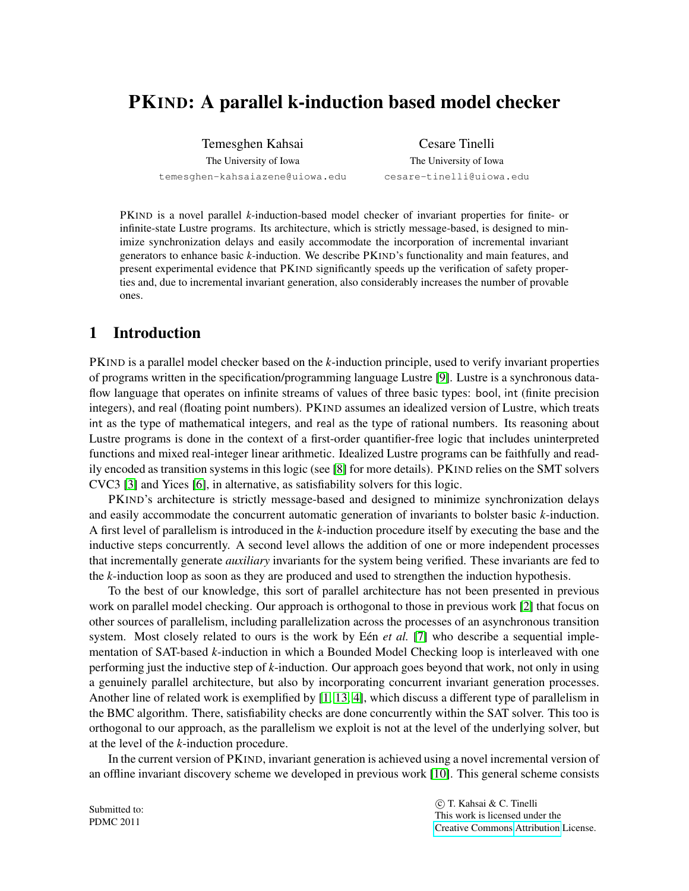# PKIND: A parallel k-induction based model checker

Temesghen Kahsai The University of Iowa temesghen-kahsaiazene@uiowa.edu

Cesare Tinelli The University of Iowa cesare-tinelli@uiowa.edu

PKIND is a novel parallel *k*-induction-based model checker of invariant properties for finite- or infinite-state Lustre programs. Its architecture, which is strictly message-based, is designed to minimize synchronization delays and easily accommodate the incorporation of incremental invariant generators to enhance basic *k*-induction. We describe PKIND's functionality and main features, and present experimental evidence that PKIND significantly speeds up the verification of safety properties and, due to incremental invariant generation, also considerably increases the number of provable ones.

## 1 Introduction

PKIND is a parallel model checker based on the *k*-induction principle, used to verify invariant properties of programs written in the specification/programming language Lustre [\[9\]](#page-7-0). Lustre is a synchronous dataflow language that operates on infinite streams of values of three basic types: bool, int (finite precision integers), and real (floating point numbers). PKIND assumes an idealized version of Lustre, which treats int as the type of mathematical integers, and real as the type of rational numbers. Its reasoning about Lustre programs is done in the context of a first-order quantifier-free logic that includes uninterpreted functions and mixed real-integer linear arithmetic. Idealized Lustre programs can be faithfully and readily encoded as transition systems in this logic (see [\[8\]](#page-7-1) for more details). PKIND relies on the SMT solvers CVC3 [\[3\]](#page-7-2) and Yices [\[6\]](#page-7-3), in alternative, as satisfiability solvers for this logic.

PKIND's architecture is strictly message-based and designed to minimize synchronization delays and easily accommodate the concurrent automatic generation of invariants to bolster basic *k*-induction. A first level of parallelism is introduced in the *k*-induction procedure itself by executing the base and the inductive steps concurrently. A second level allows the addition of one or more independent processes that incrementally generate *auxiliary* invariants for the system being verified. These invariants are fed to the *k*-induction loop as soon as they are produced and used to strengthen the induction hypothesis.

To the best of our knowledge, this sort of parallel architecture has not been presented in previous work on parallel model checking. Our approach is orthogonal to those in previous work [\[2\]](#page-7-4) that focus on other sources of parallelism, including parallelization across the processes of an asynchronous transition system. Most closely related to ours is the work by Een *et al.* [\[7\]](#page-7-5) who describe a sequential implementation of SAT-based *k*-induction in which a Bounded Model Checking loop is interleaved with one performing just the inductive step of *k*-induction. Our approach goes beyond that work, not only in using a genuinely parallel architecture, but also by incorporating concurrent invariant generation processes. Another line of related work is exemplified by [\[1,](#page-7-6) [13,](#page-7-7) [4\]](#page-7-8), which discuss a different type of parallelism in the BMC algorithm. There, satisfiability checks are done concurrently within the SAT solver. This too is orthogonal to our approach, as the parallelism we exploit is not at the level of the underlying solver, but at the level of the *k*-induction procedure.

In the current version of PKIND, invariant generation is achieved using a novel incremental version of an offline invariant discovery scheme we developed in previous work [\[10\]](#page-7-9). This general scheme consists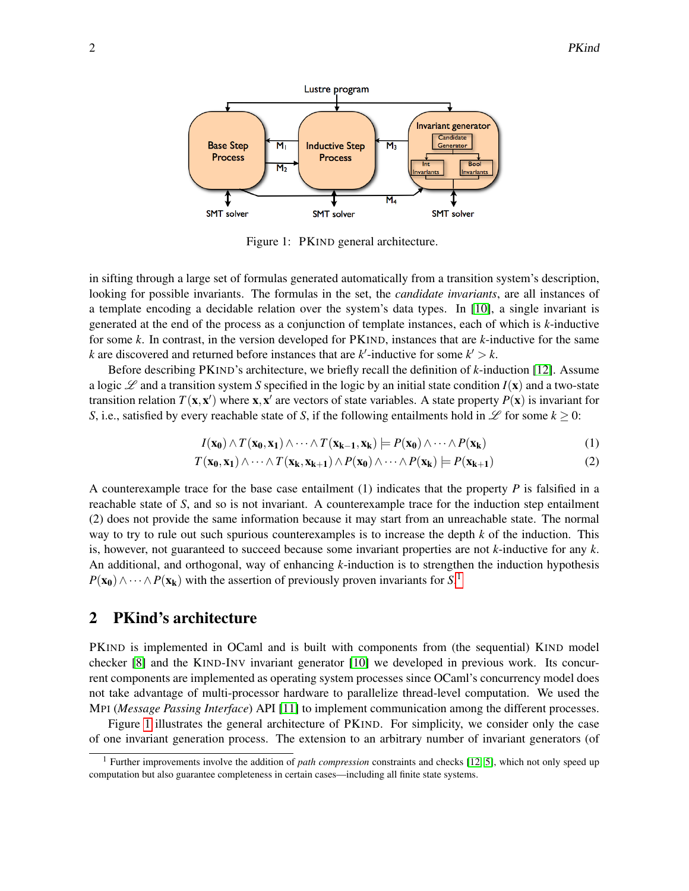

<span id="page-1-1"></span>Figure 1: PKIND general architecture.

in sifting through a large set of formulas generated automatically from a transition system's description, looking for possible invariants. The formulas in the set, the *candidate invariants*, are all instances of a template encoding a decidable relation over the system's data types. In [\[10\]](#page-7-9), a single invariant is generated at the end of the process as a conjunction of template instances, each of which is *k*-inductive for some *k*. In contrast, in the version developed for PKIND, instances that are *k*-inductive for the same *k* are discovered and returned before instances that are  $k'$ -inductive for some  $k' > k$ .

Before describing PKIND's architecture, we briefly recall the definition of *k*-induction [\[12\]](#page-7-10). Assume a logic  $\mathscr L$  and a transition system *S* specified in the logic by an initial state condition  $I(x)$  and a two-state transition relation  $T(\mathbf{x}, \mathbf{x}')$  where  $\mathbf{x}, \mathbf{x}'$  are vectors of state variables. A state property  $P(\mathbf{x})$  is invariant for *S*, i.e., satisfied by every reachable state of *S*, if the following entailments hold in  $\mathscr{L}$  for some  $k > 0$ :

<span id="page-1-3"></span><span id="page-1-2"></span>
$$
I(\mathbf{x_0}) \wedge T(\mathbf{x_0}, \mathbf{x_1}) \wedge \dots \wedge T(\mathbf{x_{k-1}}, \mathbf{x_k}) \models P(\mathbf{x_0}) \wedge \dots \wedge P(\mathbf{x_k})
$$
(1)

$$
T(\mathbf{x_0}, \mathbf{x_1}) \wedge \dots \wedge T(\mathbf{x_k}, \mathbf{x_{k+1}}) \wedge P(\mathbf{x_0}) \wedge \dots \wedge P(\mathbf{x_k}) \models P(\mathbf{x_{k+1}})
$$
(2)

A counterexample trace for the base case entailment (1) indicates that the property *P* is falsified in a reachable state of *S*, and so is not invariant. A counterexample trace for the induction step entailment (2) does not provide the same information because it may start from an unreachable state. The normal way to try to rule out such spurious counterexamples is to increase the depth *k* of the induction. This is, however, not guaranteed to succeed because some invariant properties are not *k*-inductive for any *k*. An additional, and orthogonal, way of enhancing *k*-induction is to strengthen the induction hypothesis  $P(\mathbf{x_0}) \wedge \cdots \wedge P(\mathbf{x_k})$  with the assertion of previously proven invariants for *S*.<sup>[1](#page-1-0)</sup>

### 2 PKind's architecture

PKIND is implemented in OCaml and is built with components from (the sequential) KIND model checker [\[8\]](#page-7-1) and the KIND-INV invariant generator [\[10\]](#page-7-9) we developed in previous work. Its concurrent components are implemented as operating system processes since OCaml's concurrency model does not take advantage of multi-processor hardware to parallelize thread-level computation. We used the MPI (*Message Passing Interface*) API [\[11\]](#page-7-11) to implement communication among the different processes.

Figure [1](#page-1-1) illustrates the general architecture of PKIND. For simplicity, we consider only the case of one invariant generation process. The extension to an arbitrary number of invariant generators (of

<span id="page-1-0"></span><sup>1</sup> Further improvements involve the addition of *path compression* constraints and checks [\[12,](#page-7-10) [5\]](#page-7-12), which not only speed up computation but also guarantee completeness in certain cases—including all finite state systems.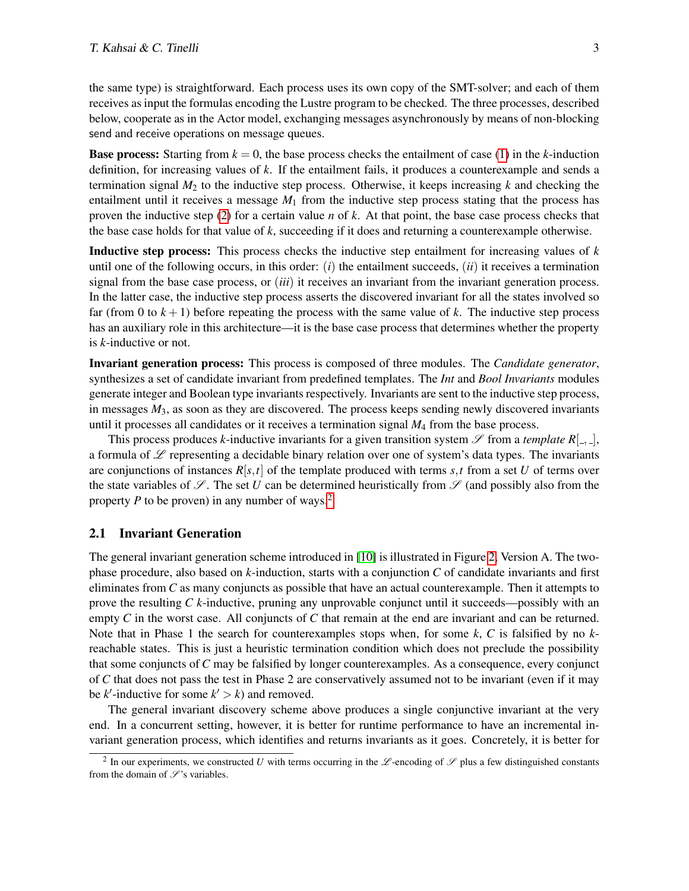the same type) is straightforward. Each process uses its own copy of the SMT-solver; and each of them receives as input the formulas encoding the Lustre program to be checked. The three processes, described below, cooperate as in the Actor model, exchanging messages asynchronously by means of non-blocking send and receive operations on message queues.

**Base process:** Starting from  $k = 0$ , the base process checks the entailment of case [\(1\)](#page-1-2) in the *k*-induction definition, for increasing values of *k*. If the entailment fails, it produces a counterexample and sends a termination signal  $M_2$  to the inductive step process. Otherwise, it keeps increasing  $k$  and checking the entailment until it receives a message  $M_1$  from the inductive step process stating that the process has proven the inductive step [\(2\)](#page-1-3) for a certain value *n* of *k*. At that point, the base case process checks that the base case holds for that value of *k*, succeeding if it does and returning a counterexample otherwise.

Inductive step process: This process checks the inductive step entailment for increasing values of *k* until one of the following occurs, in this order:  $(i)$  the entailment succeeds,  $(ii)$  it receives a termination signal from the base case process, or (*iii*) it receives an invariant from the invariant generation process. In the latter case, the inductive step process asserts the discovered invariant for all the states involved so far (from 0 to  $k+1$ ) before repeating the process with the same value of k. The inductive step process has an auxiliary role in this architecture—it is the base case process that determines whether the property is *k*-inductive or not.

Invariant generation process: This process is composed of three modules. The *Candidate generator*, synthesizes a set of candidate invariant from predefined templates. The *Int* and *Bool Invariants* modules generate integer and Boolean type invariants respectively. Invariants are sent to the inductive step process, in messages *M*3, as soon as they are discovered. The process keeps sending newly discovered invariants until it processes all candidates or it receives a termination signal *M*<sup>4</sup> from the base process.

This process produces *k*-inductive invariants for a given transition system  $\mathscr S$  from a *template*  $R[$ <sub>-</sub>,  $]$ , a formula of  $\mathscr L$  representing a decidable binary relation over one of system's data types. The invariants are conjunctions of instances  $R[s,t]$  of the template produced with terms  $s,t$  from a set U of terms over the state variables of  $\mathscr{S}$ . The set *U* can be determined heuristically from  $\mathscr{S}$  (and possibly also from the property *P* to be proven) in any number of ways.<sup>[2](#page-2-0)</sup>

#### 2.1 Invariant Generation

The general invariant generation scheme introduced in [\[10\]](#page-7-9) is illustrated in Figure [2,](#page-3-0) Version A. The twophase procedure, also based on *k*-induction, starts with a conjunction *C* of candidate invariants and first eliminates from *C* as many conjuncts as possible that have an actual counterexample. Then it attempts to prove the resulting *C k*-inductive, pruning any unprovable conjunct until it succeeds—possibly with an empty *C* in the worst case. All conjuncts of *C* that remain at the end are invariant and can be returned. Note that in Phase 1 the search for counterexamples stops when, for some *k*, *C* is falsified by no *k*reachable states. This is just a heuristic termination condition which does not preclude the possibility that some conjuncts of *C* may be falsified by longer counterexamples. As a consequence, every conjunct of *C* that does not pass the test in Phase 2 are conservatively assumed not to be invariant (even if it may be  $k'$ -inductive for some  $k' > k$ ) and removed.

The general invariant discovery scheme above produces a single conjunctive invariant at the very end. In a concurrent setting, however, it is better for runtime performance to have an incremental invariant generation process, which identifies and returns invariants as it goes. Concretely, it is better for

<span id="page-2-0"></span><sup>&</sup>lt;sup>2</sup> In our experiments, we constructed *U* with terms occurring in the  $\mathscr L$ -encoding of  $\mathscr S$  plus a few distinguished constants from the domain of  $\mathscr{S}$ 's variables.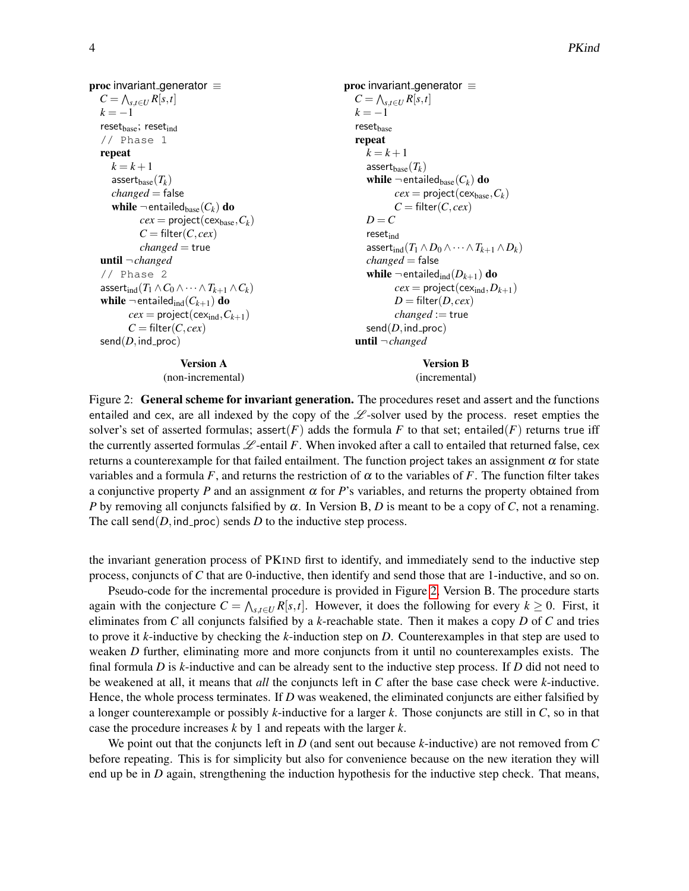proc invariant generator  $\equiv$  $C = \bigwedge_{s,t \in U} R[s,t]$  $k = -1$  $reset_{base}$ ; reset $_{ind}$ // Phase 1 repeat  $k = k + 1$ assert $_{base}(T_k)$ *changed* = false while  $\neg$  entailed<sub>base</sub>( $C_k$ ) do  $cex = project(cex_{base}, C_k)$  $C = \text{filter}(C, cex)$ *changed* = true until ¬*changed* // Phase 2 assert<sub>ind</sub>( $T_1 \wedge C_0 \wedge \cdots \wedge T_{k+1} \wedge C_k$ ) while  $\neg$  entailed<sub>ind</sub>( $C_{k+1}$ ) do  $cex = project(cex<sub>ind</sub>, C<sub>k+1</sub>)$  $C = \text{filter}(C, cex)$  $send(D,ind\_proc)$ Version A

<span id="page-3-0"></span>(non-incremental)

proc invariant generator  $\equiv$  $C = \bigwedge_{s,t \in U} R[s,t]$  $k = -1$  $reset_{base}$ repeat  $k = k + 1$ assert<sub>base</sub> $(T_k)$ while  $\neg$  entailed<sub>base</sub>( $C_k$ ) do  $cex = project(cex_{base}, C_k)$  $C = \text{filter}(C, cex)$  $D = C$ resetind assert<sub>ind</sub> $(T_1 \wedge D_0 \wedge \cdots \wedge T_{k+1} \wedge D_k)$ *changed* = false while  $\neg$  entailed<sub>ind</sub>( $D_{k+1}$ ) do  $cex = project(cex<sub>ind</sub>, D<sub>k+1</sub>)$  $D = \text{filter}(D, cex)$ *changed* := true  $send(D,ind\_proc)$ until ¬*changed*

> Version B (incremental)

Figure 2: General scheme for invariant generation. The procedures reset and assert and the functions entailed and cex, are all indexed by the copy of the  $\mathcal{L}$ -solver used by the process. reset empties the solver's set of asserted formulas; assert(*F*) adds the formula *F* to that set; entailed(*F*) returns true iff the currently asserted formulas  $\mathscr{L}$ -entail F. When invoked after a call to entailed that returned false, cex returns a counterexample for that failed entailment. The function project takes an assignment  $\alpha$  for state variables and a formula *F*, and returns the restriction of  $\alpha$  to the variables of *F*. The function filter takes a conjunctive property *P* and an assignment  $\alpha$  for *P*'s variables, and returns the property obtained from *P* by removing all conjuncts falsified by  $\alpha$ . In Version B, *D* is meant to be a copy of *C*, not a renaming. The call send( $D$ , ind proc) sends  $D$  to the inductive step process.

the invariant generation process of PKIND first to identify, and immediately send to the inductive step process, conjuncts of *C* that are 0-inductive, then identify and send those that are 1-inductive, and so on.

Pseudo-code for the incremental procedure is provided in Figure [2,](#page-3-0) Version B. The procedure starts again with the conjecture  $C = \bigwedge_{s,t \in U} R[s,t]$ . However, it does the following for every  $k \ge 0$ . First, it eliminates from *C* all conjuncts falsified by a *k*-reachable state. Then it makes a copy *D* of *C* and tries to prove it *k*-inductive by checking the *k*-induction step on *D*. Counterexamples in that step are used to weaken *D* further, eliminating more and more conjuncts from it until no counterexamples exists. The final formula *D* is *k*-inductive and can be already sent to the inductive step process. If *D* did not need to be weakened at all, it means that *all* the conjuncts left in *C* after the base case check were *k*-inductive. Hence, the whole process terminates. If *D* was weakened, the eliminated conjuncts are either falsified by a longer counterexample or possibly *k*-inductive for a larger *k*. Those conjuncts are still in *C*, so in that case the procedure increases *k* by 1 and repeats with the larger *k*.

We point out that the conjuncts left in *D* (and sent out because *k*-inductive) are not removed from *C* before repeating. This is for simplicity but also for convenience because on the new iteration they will end up be in *D* again, strengthening the induction hypothesis for the inductive step check. That means,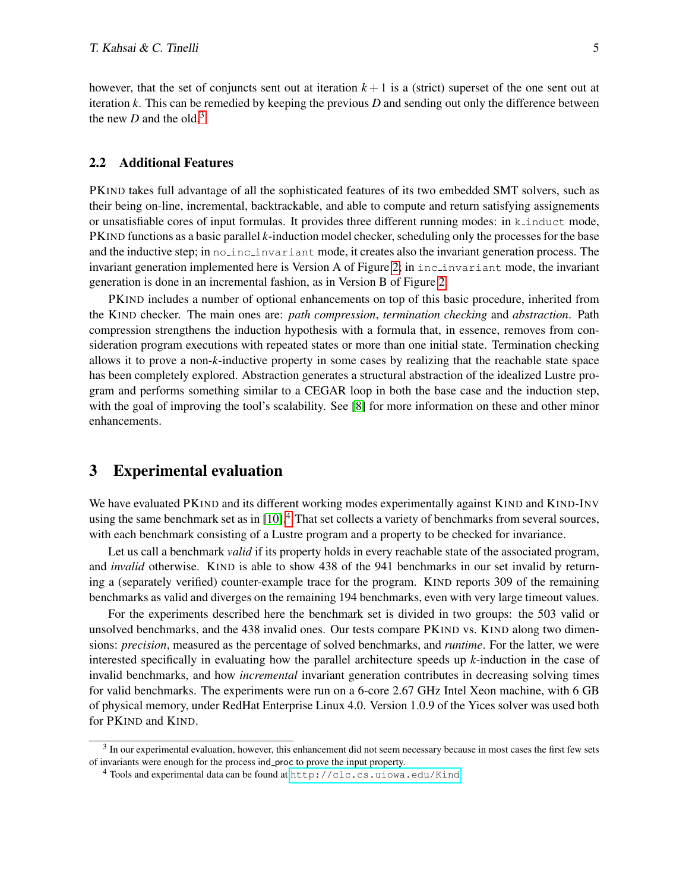however, that the set of conjuncts sent out at iteration  $k+1$  is a (strict) superset of the one sent out at iteration *k*. This can be remedied by keeping the previous *D* and sending out only the difference between the new  $D$  and the old.<sup>[3](#page-4-0)</sup>

#### 2.2 Additional Features

PKIND takes full advantage of all the sophisticated features of its two embedded SMT solvers, such as their being on-line, incremental, backtrackable, and able to compute and return satisfying assignements or unsatisfiable cores of input formulas. It provides three different running modes: in k induct mode, PKIND functions as a basic parallel *k*-induction model checker, scheduling only the processes for the base and the inductive step; in nolinclinvariant mode, it creates also the invariant generation process. The invariant generation implemented here is Version A of Figure [2;](#page-3-0) in inc invariant mode, the invariant generation is done in an incremental fashion, as in Version B of Figure [2.](#page-3-0)

PKIND includes a number of optional enhancements on top of this basic procedure, inherited from the KIND checker. The main ones are: *path compression*, *termination checking* and *abstraction*. Path compression strengthens the induction hypothesis with a formula that, in essence, removes from consideration program executions with repeated states or more than one initial state. Termination checking allows it to prove a non-*k*-inductive property in some cases by realizing that the reachable state space has been completely explored. Abstraction generates a structural abstraction of the idealized Lustre program and performs something similar to a CEGAR loop in both the base case and the induction step, with the goal of improving the tool's scalability. See [\[8\]](#page-7-1) for more information on these and other minor enhancements.

### 3 Experimental evaluation

We have evaluated PKIND and its different working modes experimentally against KIND and KIND-INV using the same benchmark set as in [\[10\]](#page-7-9).<sup>[4](#page-4-1)</sup> That set collects a variety of benchmarks from several sources, with each benchmark consisting of a Lustre program and a property to be checked for invariance.

Let us call a benchmark *valid* if its property holds in every reachable state of the associated program, and *invalid* otherwise. KIND is able to show 438 of the 941 benchmarks in our set invalid by returning a (separately verified) counter-example trace for the program. KIND reports 309 of the remaining benchmarks as valid and diverges on the remaining 194 benchmarks, even with very large timeout values.

For the experiments described here the benchmark set is divided in two groups: the 503 valid or unsolved benchmarks, and the 438 invalid ones. Our tests compare PKIND vs. KIND along two dimensions: *precision*, measured as the percentage of solved benchmarks, and *runtime*. For the latter, we were interested specifically in evaluating how the parallel architecture speeds up *k*-induction in the case of invalid benchmarks, and how *incremental* invariant generation contributes in decreasing solving times for valid benchmarks. The experiments were run on a 6-core 2.67 GHz Intel Xeon machine, with 6 GB of physical memory, under RedHat Enterprise Linux 4.0. Version 1.0.9 of the Yices solver was used both for PKIND and KIND.

<span id="page-4-0"></span> $3$  In our experimental evaluation, however, this enhancement did not seem necessary because in most cases the first few sets of invariants were enough for the process ind proc to prove the input property.

<span id="page-4-1"></span><sup>&</sup>lt;sup>4</sup> Tools and experimental data can be found at <http://clc.cs.uiowa.edu/Kind>.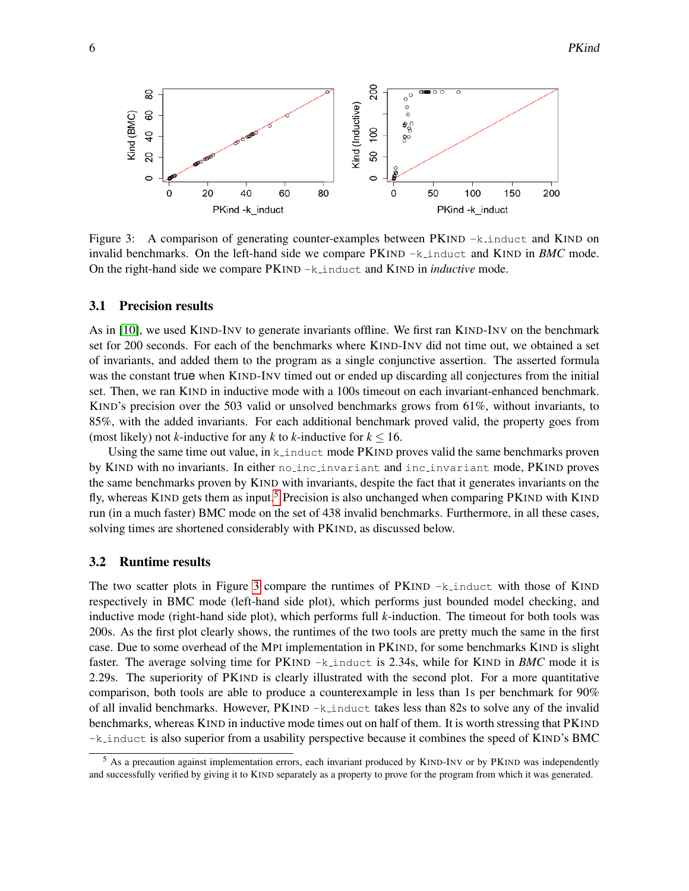

<span id="page-5-1"></span>Figure 3: A comparison of generating counter-examples between PKIND -k\_induct and KIND on invalid benchmarks. On the left-hand side we compare PKIND -k induct and KIND in *BMC* mode. On the right-hand side we compare PKIND -k induct and KIND in *inductive* mode.

#### 3.1 Precision results

As in [\[10\]](#page-7-9), we used KIND-INV to generate invariants offline. We first ran KIND-INV on the benchmark set for 200 seconds. For each of the benchmarks where KIND-INV did not time out, we obtained a set of invariants, and added them to the program as a single conjunctive assertion. The asserted formula was the constant true when KIND-INV timed out or ended up discarding all conjectures from the initial set. Then, we ran KIND in inductive mode with a 100s timeout on each invariant-enhanced benchmark. KIND's precision over the 503 valid or unsolved benchmarks grows from 61%, without invariants, to 85%, with the added invariants. For each additional benchmark proved valid, the property goes from (most likely) not *k*-inductive for any *k* to *k*-inductive for  $k \le 16$ .

Using the same time out value, in  $k$  induct mode PKIND proves valid the same benchmarks proven by KIND with no invariants. In either no inc invariant and inc invariant mode, PKIND proves the same benchmarks proven by KIND with invariants, despite the fact that it generates invariants on the fly, whereas KIND gets them as input.<sup>[5](#page-5-0)</sup> Precision is also unchanged when comparing PKIND with KIND run (in a much faster) BMC mode on the set of 438 invalid benchmarks. Furthermore, in all these cases, solving times are shortened considerably with PKIND, as discussed below.

#### 3.2 Runtime results

The two scatter plots in Figure [3](#page-5-1) compare the runtimes of  $PKIND -k\_induct$  with those of KIND respectively in BMC mode (left-hand side plot), which performs just bounded model checking, and inductive mode (right-hand side plot), which performs full *k*-induction. The timeout for both tools was 200s. As the first plot clearly shows, the runtimes of the two tools are pretty much the same in the first case. Due to some overhead of the MPI implementation in PKIND, for some benchmarks KIND is slight faster. The average solving time for PKIND  $-k$  induct is 2.34s, while for KIND in *BMC* mode it is 2.29s. The superiority of PKIND is clearly illustrated with the second plot. For a more quantitative comparison, both tools are able to produce a counterexample in less than 1s per benchmark for 90% of all invalid benchmarks. However,  $PKIND -k$  induct takes less than 82s to solve any of the invalid benchmarks, whereas KIND in inductive mode times out on half of them. It is worth stressing that PKIND -k induct is also superior from a usability perspective because it combines the speed of KIND's BMC

<span id="page-5-0"></span><sup>&</sup>lt;sup>5</sup> As a precaution against implementation errors, each invariant produced by KIND-INV or by PKIND was independently and successfully verified by giving it to KIND separately as a property to prove for the program from which it was generated.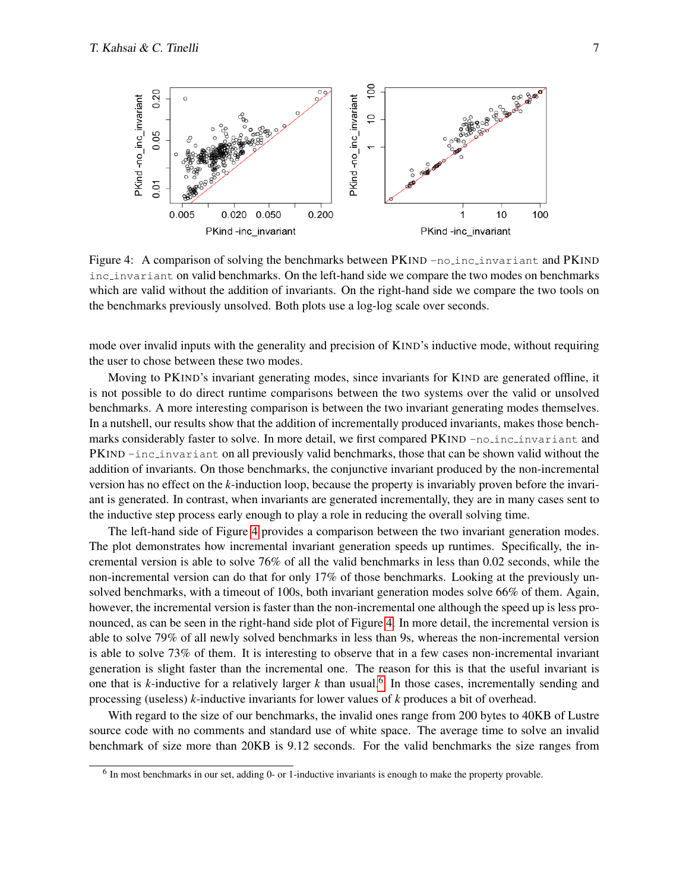

<span id="page-6-0"></span>Figure 4: A comparison of solving the benchmarks between PKIND -no inc invariant and PKIND inc invariant on valid benchmarks. On the left-hand side we compare the two modes on benchmarks which are valid without the addition of invariants. On the right-hand side we compare the two tools on the benchmarks previously unsolved. Both plots use a log-log scale over seconds.

mode over invalid inputs with the generality and precision of KIND's inductive mode, without requiring the user to chose between these two modes.

Moving to PKIND's invariant generating modes, since invariants for KIND are generated offline, it is not possible to do direct runtime comparisons between the two systems over the valid or unsolved benchmarks. A more interesting comparison is between the two invariant generating modes themselves. In a nutshell, our results show that the addition of incrementally produced invariants, makes those benchmarks considerably faster to solve. In more detail, we first compared PKIND -no inclinuariant and PKIND -inc invariant on all previously valid benchmarks, those that can be shown valid without the addition of invariants. On those benchmarks, the conjunctive invariant produced by the non-incremental version has no effect on the *k*-induction loop, because the property is invariably proven before the invariant is generated. In contrast, when invariants are generated incrementally, they are in many cases sent to the inductive step process early enough to play a role in reducing the overall solving time.

The left-hand side of Figure [4](#page-6-0) provides a comparison between the two invariant generation modes. The plot demonstrates how incremental invariant generation speeds up runtimes. Specifically, the incremental version is able to solve 76% of all the valid benchmarks in less than 0.02 seconds, while the non-incremental version can do that for only 17% of those benchmarks. Looking at the previously unsolved benchmarks, with a timeout of 100s, both invariant generation modes solve 66% of them. Again, however, the incremental version is faster than the non-incremental one although the speed up is less pronounced, as can be seen in the right-hand side plot of Figure [4.](#page-6-0) In more detail, the incremental version is able to solve 79% of all newly solved benchmarks in less than 9s, whereas the non-incremental version is able to solve 73% of them. It is interesting to observe that in a few cases non-incremental invariant generation is slight faster than the incremental one. The reason for this is that the useful invariant is one that is  $k$ -inductive for a relatively larger  $k$  than usual.<sup>[6](#page-6-1)</sup> In those cases, incrementally sending and processing (useless) *k*-inductive invariants for lower values of *k* produces a bit of overhead.

With regard to the size of our benchmarks, the invalid ones range from 200 bytes to 40KB of Lustre source code with no comments and standard use of white space. The average time to solve an invalid benchmark of size more than 20KB is 9.12 seconds. For the valid benchmarks the size ranges from

<span id="page-6-1"></span><sup>&</sup>lt;sup>6</sup> In most benchmarks in our set, adding 0- or 1-inductive invariants is enough to make the property provable.